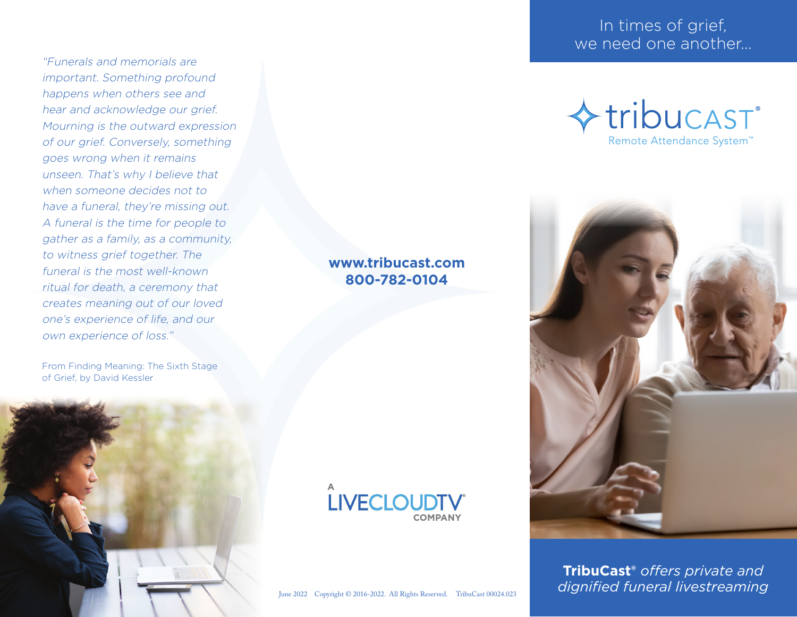"Funerals and memorials are important. Something profound happens when others see and hear and acknowledge our grief. Mourning is the outward expression of our grief. Conversely, something goes wrong when it remains unseen. That's why I believe that when someone decides not to have a funeral, they're missing out. A funeral is the time for people to gather as a family, as a community, to witness grief together. The funeral is the most well-known ritual for death, a ceremony that creates meaning out of our loved one's experience of life, and our own experience of loss."

From Finding Meaning: The Sixth Stage of Grief, by David Kessler



## In times of grief, we need one another...





**TribuCast®** *offers private and dignified funeral livestreaming*

#### **www.tribucast.com 800-782-0104**

# **LIVECLOUDTV COMPANY**